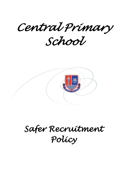*Central Primary School* 



*Safer Recruitment Policy*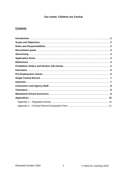# Our motto: Children are Central

# **Contents**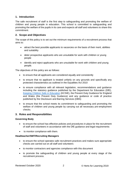## **1. Introduction**

The safe recruitment of staff is the first step to safeguarding and promoting the welfare of children and young people in education. This school is committed to safeguarding and promoting the welfare of the pupils in its care and expects all staff and volunteers to share this commitment.

### **2. Scope and Objectives**

The scope of this policy is to set out the minimum requirements of a recruitment process that aims to:

- attract the best possible applicants to vacancies on the basis of their merit, abilities and suitability
- deter prospective applicants who are unsuitable for work with children or young people
- identify and reject applicants who are unsuitable for work with children and young people.

The objectives of this policy are as follows:

- to ensure that all applicants are considered equally and consistently
- to ensure that no applicant is treated unfairly on any grounds and specifically any protected characteristics as outlined in the Equalities Act 2010
- to ensure compliance with all relevant legislation, recommendations and guidance including the statutory guidance published by the Department for Education (DfE), [Keeping Children Safe in Education](https://www.gov.uk/government/publications/keeping-children-safe-in-education--2) (KCSIE), the Prevent Duty Guidance for England and Wales (the Prevent Duty Guidance) and any guidance or code of practice published by the Disclosure and Barring Services (DBS)
- to ensure that the school meets its commitment to safeguarding and promoting the welfare of children and young people by carrying out all necessary pre-employment checks.

#### **3. Roles and Responsibilities**

#### **Governing Body**

- to ensure the school has effective policies and procedures in place for the recruitment of staff and volunteers in accordance with the DfE guidance and legal requirements
- to monitor compliance with them.

#### **Headteacher/SMT/Recruiting Managers**

- to ensure the school operates safe recruitment practices and makes sure appropriate checks are carried out on all staff and volunteers
- to monitor contractors and agencies compliance with this document
- to promote the safeguarding of children and young people at every stage of the recruitment process.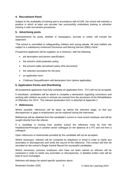## **4. Recruitment Panel**

Subject to the availability of training and in accordance with KCSIE, the school will maintain a position in which at least one recruiter has successfully undertaken training or refresher training in safe recruitment procedures.

### **5. Advertising posts**

Advertisements for posts, whether in newspapers, journals or online, will include the statement:

"The school is committed to safeguarding children and young people. All post holders are subject to a satisfactory enhanced Disclosure and Barring Service (DBS) check."

Prospective applicants will be supplied, as a minimum, with the following:

- job description and person specification;
- the school's child protection policy;
- the school's safer recruitment policy (this document);
- the selection procedure for the post;
- an application form:
- Childcare Disqualification self-declaration form (where applicable).

### **6. Application Forms and Shortlisting**

All prospective applicants must fully complete an application form. CV's will not be accepted.

If shortlisted, candidates will be asked to complete a declaration regarding convictions and working with children as posts in schools are exempt from the provisions of the Rehabilitation of Offenders Act 1974. The relevant declaration form is attached at Appendix 2.

#### **7. References**

Where possible, references will be taken up before the interview stage, so that any discrepancies or gaps in employment can be explored during the interviews.

References will be obtained from the candidate's current or most recent employer and will be sought directly from the referee.

If a candidate is moving from another school the reference must be from the Headteacher/Principal or another senior colleague (in the absence of a HT) and not from a colleague.

Open references or testimonials provided by the candidate will not be accepted.

Where necessary, referees will be contacted by telephone or email in order to clarify any anomalies or discrepancies and verify the source of the reference. This contact will then be recorded on the school's Single Central Record for successful candidates.

Where necessary, previous employers who have not been named as referees will be contacted in order to clarify any anomalies or discrepancies. A detailed written note will be kept of such exchanges.

Referees will always be asked specific questions about:

Reviewed October 2020 3 General Accords 10 General Accords 10 General Accords 10 General Accords 10 General Accords 10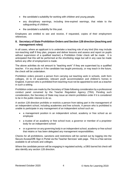- the candidate's suitability for working with children and young people;
- any disciplinary warnings, including time-expired warnings, that relate to the safeguarding of children;
- the candidate's suitability for this post.

Employees are entitled to see and receive, if requested, copies of their employment references.

### **8. Secretary of State Prohibition Orders and Section 128 direction (teaching and management roles)**

In all cases, where an applicant is to undertake a teaching role of any kind (this may include non-teaching staff if they plan, prepare and deliver lessons and assess and report on pupils without supervision of a qualified teacher) a Prohibition Order check will be made . It is anticipated that this will be performed at the shortlisting stage but will in any case be made before any offer of employment is made.

The above activities do not amount to "teaching work" if they are supervised by a qualified teacher. If in any doubt or if the candidate has taught previously, or may teach in the future, the check will be undertaken.

Prohibition orders prevent a person from carrying out teaching work in schools, sixth form colleges, 16 to 19 academies, relevant youth accommodation and children's homes in England. A person who is prohibited from teaching must not be appointed to work as a teacher in such a setting.

Prohibition orders are made by the Secretary of State following consideration by a professional conduct panel convened by the Teacher Regulation Agency (TRA). Pending such consideration, the Secretary of State may issue an interim prohibition order if it is considered to be in the public interest to do so.

A section 128 direction prohibits or restricts a person from taking part in the management of an independent school, including academies and free schools. A person who is prohibited is unable to participate in any management of an independent school such as:

- a management position in an independent school, academy or free school as an employee
- a trustee of an academy or free school trust; a governor or member of a proprietor body for an independent school
- or a governor on any governing body in an independent school, academy or free school that retains or has been delegated any management responsibilities.

Checks for all prohibitions, sanctions and restrictions will be carried out by logging into the Secure Access/DfE Sign in Portal via the Teacher Services' web page. This is a free service available to all schools and colleges.

Where the candidate person will be engaging in regulated activity, a DBS barred list check will also identify any section 128 direction.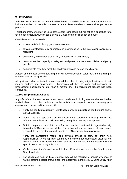### **9. Interviews**

Selection techniques will be determined by the nature and duties of the vacant post and may include a variety of methods, however a face to face interview is essential as part of the process.

Telephone interviews may be used at the short-listing stage but will not be a substitute for a face-to-face interview (which could be via a visual electronic link such as Skype).

Candidates will be required to:

- explain satisfactorily any gaps in employment
- explain satisfactorily any anomalies or discrepancies in the information available to recruiters
- declare any information that is likely to appear on a DBS check;
- demonstrate their capacity to safeguard and protect the welfare of children and young people
- demonstrate how they meet the job description and person specification.

At least one member of the interview panel will have undertaken safer recruitment training or refresher training as applicable.

All applicants who are invited to interview will be asked to bring original evidence of their identity, address and qualification. Photocopies will then be taken and destroyed for unsuccessful applicants no later than 6 months after the recruitment process has been concluded.

### **10.Pre-Employment Checks**

Any offer of appointment made to a successful candidate, including anyone who has lived or worked abroad, must be conditional on the satisfactory completion of the necessary preemployment checks and the school will:

- Verify the candidate's identity. Identification checking guidelines can be found on the Gov.uk website.
- Obtain (via the applicant) an enhanced DBS certificate (including barred list information for those who will be working in regulated activity (see Appendix 1)
- Obtain a separate barred list check if an individual will start work in regulated activity before the DBS certificate is available. The school will also carry out a risk assessment if candidates will be starting work prior to a DBS certificate being available.
- Verify the candidate's mental and physical fitness to carry out their work responsibilities. A job applicant can be asked relevant questions about disability and health in order to establish that they have the physical and mental capacity for the specific role - see paragraph 10.2.
- Verify the candidate's right to work in the UK. Advice on this can be found on the Gov.uk website.
- For candidates from an EEA Country, they will be required to provide evidence of having obtained settled status under the Settlement Scheme by 30 June 2021. After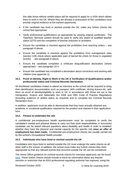this date those without settled status will be required to apply for a VISA which allows them to work in the UK. Where they are already in possession of this candidates must provide original evidence at the earliest opportunity.

- If the candidate has lived or worked outside the UK, make any further checks the school feel appropriate.
- Verify professional qualifications as appropriate by viewing original certificates. The Teachers' Services system should be used to verify any award of qualified teacher status (QTS) and the completion of teacher induction or probation.
- Ensure the candidate is checked against the prohibition from teaching orders see paragraph 8 above.
- Ensure the candidate is checked against the prohibition from management roles (section 128) check where applicable (part of barred list check for those in regulated activity) - see paragraph 8 above.
- Ensure the candidate completes a childcare disqualification declaration (where appropriate) – see paragraph 10.4.
- Ensure the candidate has completed a declaration about convictions and working with children (see appendix 2).

#### **10.1. Proof of identity, Right to Work in the UK & Verification of Qualifications and/or professional status and Criminal Records Declaration.**

All shortlisted candidates invited to attend an interview at the school will be required to bring their identification documentation such as passport, birth certificate, driving licence etc. with them as proof of identity/eligibility to work in UK in accordance with those set out in the Immigration, Asylum and Nationality Act 2006 and DBS Code of Practice Regulations (including evidence of settled status as required) and to complete the Criminal Records Declaration form.

In addition, applicants must be able to demonstrate that they have actually obtained any academic or vocational qualification required for the position and claimed in their application form.

### **10.2. Fitness to undertake the role**

A confidential pre-employment health questionnaire must be completed to verify the candidate's mental and physical fitness to carry out their work responsibilities. A successful candidate can be asked relevant questions about disability and health in order to establish whether they have the physical and mental capacity for the specific role **once an offer of employment has been made.** Confidential pre-employment checks are usually carried out by the school's Occupational Health provider.

### **10.3. Individuals who have lived or worked outside the UK**

Candidates who have lived or worked outside the UK must undergo the same checks as all other staff in the school. In addition, the school must make any further checks they think appropriate so that any relevant events that occurred outside the UK can be considered.

The Home Office guidance on criminal records checks for overseas applicants can be found [here.](https://www.gov.uk/government/publications/criminal-records-checks-for-overseas-applicants) These further checks should include a check for information about any teacher sanction or restriction that an EEA professional regulating authority has imposed, using the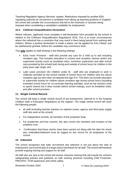Teaching Regulation Agency Services' system. Restrictions imposed by another EEA regulating authority do not prevent a candidate from taking up teaching positions in England, the school will consider the circumstances that led to the restriction or sanction being imposed when considering a candidate's suitability for employment.

### **10.4. Childcare Disqualification Declaration**

Where relevant, applicants must complete a self-declaration form provided by the school in relation to the Childcare Disqualification Regulations 2018. This is to cover circumstances where the individual has a conviction that may result in them being barred from working with children. Where a positive declaration is made a waiver can be applied for from Ofsted, and be satisfactorily granted, before the candidate may commence work.

This **only** applies to staff working in the following settings:

- Early Years Provision staff who provide any care for a child up to and including reception age. This includes education in nursery and reception classes and/or any supervised activity (such as breakfast clubs, lunchtime supervision and after school care provided by the school) both during and outside of school hours for children in the early years age range; and
- Later years provision (for children under 8) staff who are employed to work in childcare provided by the school outside of school hours for children who are above reception age but who have not attained the age of 8. This does not include education or supervised activity for children above reception age during school hours (including extended school hours for co-curricular learning activities, such as the school's choir or sports teams) but it does include before school settings, such as breakfast clubs, and after school provision.

### **11. Single Central Record**

The school will keep a single central record of pre-employment, referred to in the Keeping Children Safe in Education Regulations as the register. The single central record will cover the following people:

- all staff (including teacher trainees on salaried routes, agency and third party supply staff who work at the school)
- For independent schools, all members of the proprietor body
- For academies and free schools, this also covers the members and trustees of the academy trust
- Confirmation that these checks have been carried out along with the date the check was undertaken/obtained must be logged on this record for all employees of the school.

### **12. Induction**

The school recognises that safer recruitment and selection is not just about the start of employment, but must be part of a larger policy framework for all staff. The school will therefore provide ongoing training and support for all staff.

All staff who are new to the school will receive induction training that will include the school's safeguarding policies and guidance on safe working practices including Child Protection, PREVENT, FGM awareness and online safety.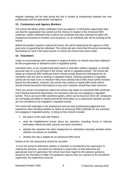Regular meetings will be held during the first 6 months of employment between the new employee(s) and the appropriate manager(s).

## **13. Contractors and Agency Workers**

The school will obtain written notification from any agency, or third-party organisation they use that the organisation has carried out the checks (in respect of the enhanced DBS certificate, written notification that confirms the certificate has been obtained by either the employment business or another such business), on an individual who will be working at the school.

Where the position requires a barred list check, this will be obtained by the agency or third party prior to appointing the individual. The school will also check that the person presenting themselves for work is the same person on whom the checks have been made.

### **14. Volunteers**

Under no circumstances will a volunteer in respect of whom no checks have been obtained be left unsupervised or allowed to work in regulated activity.

Volunteers who, on an unsupervised basis teach or look after children regularly, or provide personal care on a one-off basis in the school, will be in regulated activity. The school will obtain an enhanced DBS certificate (which should include barred list information) for all volunteers who are new to working in regulated activity. Existing volunteers in regulated activity do not have to be re-checked if they have already had a DBS check (which includes barred list information). However, the school may conduct a repeat DBS check (which should include barred list information) on any such volunteer should they have concerns.

There are certain circumstances where the school may obtain an enhanced DBS certificate (not including barred list information), for volunteers who are not engaging in regulated activity. This is set out in DBS workforce guides, which can be found on GOV.UK. Employers are not legally permitted to request barred list information on a supervised volunteer as they are not considered to be engaged in regulated activity.

The school will undertake a risk assessment and use their professional judgement and experience when deciding whether to obtain an enhanced DBS certificate for any volunteer not engaging in regulated activity. In doing so they should consider:

- the nature of the work with children
- what the establishment knows about the volunteer, including formal or informal information offered by staff, parents and other volunteers
- whether the volunteer has other employment or undertakes voluntary activities where referees can advise on suitability
- whether the role is eligible for an enhanced DBS check.

Details of the risk assessment should be recorded.

It is for the school to determine whether a volunteer is considered to be supervised. In making this decision, and where an individual is supervised, to help determine the appropriate level of supervision the school must have regard to the statutory guidance issued by the Secretary of State This guidance requires that, for a person to be considered supervised, the supervision must be: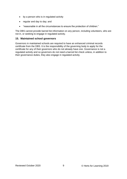- by a person who is in regulated activity
- regular and day to day; and
- "reasonable in all the circumstances to ensure the protection of children."

The DBS cannot provide barred list information on any person, including volunteers, who are not in, or seeking to engage in regulated activity.

## **15. Maintained school governors**

Governors in maintained schools are required to have an enhanced criminal records certificate from the DBS. It is the responsibility of the governing body to apply for the certificate for any of their governors who do not already have one. Governance is not a regulated activity and so governors do not need a barred list check unless, in addition to their governance duties, they also engage in regulated activity.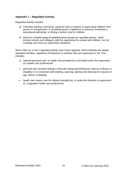## **Appendix 1 – Regulated Activity**

Regulated activity includes:

- a) Teaching, training, instructing, caring for (see (c) below) or supervising children if the person is unsupervised, or providing advice or guidance on physical, emotional or educational well-being, or driving a vehicle only for children;
- b) Work for a limited range of establishments (known as 'specified places', which include schools and colleges), with the opportunity for contact with children, but not including work done by supervised volunteers.

Work under (a) or (b) is regulated activity only if done regularly. Some activities are always regulated activities, regardless of frequency or whether they are supervised or not. This includes:

- c) relevant personal care, or health care provided by or provided under the supervision of a health care professional:
- personal care includes helping a child with eating and drinking for reasons of illness or disability or in connection with toileting, washing, bathing and dressing for reasons of age, illness of disability
- health care means care for children provided by, or under the direction or supervision of, a regulated health care professional.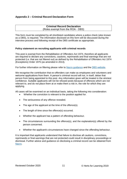## **Appendix 2 – Criminal Record Declaration Form**

#### **Criminal Record Declaration** (Roles exempt from the ROA - DBS)

This form must be completed by all shortlisted candidates where a police check (also known as a DBS), is required. The information disclosed on this form will be discussed during the interview process and following receipt of the DBS certificate as appropriate.

#### **Policy statement on recruiting applicants with criminal records**

This post is exempt from the Rehabilitation of Offenders Act 1974, therefore all applicants are required to declare any convictions, cautions, reprimands and final warnings that are not protected (i.e. that are not filtered out) as defined by the Rehabilitation of Offenders Act 1974 (Exceptions) Order 1975 (as amended in 2013).

For further information on filtering please refer to [Nacro guidance](https://www.nacro.org.uk/resettlement-advice-service/support-for-practitioners/the-law-on-disclosure/#spent) and the [DBS website.](https://www.gov.uk/government/publications/dbs-filtering-guidance/dbs-filtering-guide)

We recognise the contribution that ex-offenders can make as employees and volunteers and welcome applications from them. A person's criminal record will not, in itself, debar that person from being appointed to this post. Any information given will be treated in the strictest confidence. Suitable applicants will not be refused posts because of offences which are not relevant to, and do not place them at or make them a risk in, the role for which they are applying.

All cases will be examined on an individual basis, taking the following into consideration:

- Whether the conviction is relevant to the position applied for.
- The seriousness of any offence revealed.
- The age of the applicant at the time of the offence(s).
- The length of time since the offence(s) occurred.
- Whether the applicant has a pattern of offending behaviour.
- The circumstances surrounding the offence(s), and the explanation(s) offered by the person concerned.
- Whether the applicant's circumstances have changed since the offending behaviour.

It is important that applicants understand that failure to disclose all cautions, convictions, reprimands or final warnings that are not protected could result in disciplinary proceedings or dismissal. Further advice and guidance on disclosing a criminal record can be obtained from [Nacro.](http://www.nacro.org.uk/data/files/practical-guidance-on-dbs-filtering-1032.pdf)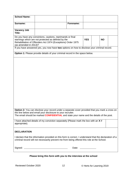| <b>School Name:</b>                                                                                     |                                                                                                                                                                |                        |  |  |           |  |  |
|---------------------------------------------------------------------------------------------------------|----------------------------------------------------------------------------------------------------------------------------------------------------------------|------------------------|--|--|-----------|--|--|
| Surname:                                                                                                |                                                                                                                                                                | Forename:              |  |  |           |  |  |
|                                                                                                         |                                                                                                                                                                |                        |  |  |           |  |  |
| <b>Vacancy Job</b>                                                                                      |                                                                                                                                                                |                        |  |  |           |  |  |
| Title:                                                                                                  |                                                                                                                                                                |                        |  |  |           |  |  |
|                                                                                                         | Do you have any convictions, cautions, reprimands or final                                                                                                     |                        |  |  |           |  |  |
|                                                                                                         | warnings which are not protected as defined by the                                                                                                             |                        |  |  | <b>NO</b> |  |  |
| Rehabilitation of Offenders Act 1974 (Exceptions) Order 1975                                            |                                                                                                                                                                |                        |  |  |           |  |  |
| (as amended in 2013)?                                                                                   |                                                                                                                                                                |                        |  |  |           |  |  |
|                                                                                                         | If you have answered yes, you now have two options on how to disclose your criminal record.                                                                    |                        |  |  |           |  |  |
|                                                                                                         | Option 1: Please provide details of your criminal record in the space below.                                                                                   |                        |  |  |           |  |  |
|                                                                                                         |                                                                                                                                                                |                        |  |  |           |  |  |
|                                                                                                         |                                                                                                                                                                |                        |  |  |           |  |  |
|                                                                                                         |                                                                                                                                                                |                        |  |  |           |  |  |
|                                                                                                         |                                                                                                                                                                |                        |  |  |           |  |  |
|                                                                                                         |                                                                                                                                                                |                        |  |  |           |  |  |
|                                                                                                         |                                                                                                                                                                |                        |  |  |           |  |  |
|                                                                                                         |                                                                                                                                                                |                        |  |  |           |  |  |
|                                                                                                         |                                                                                                                                                                |                        |  |  |           |  |  |
|                                                                                                         |                                                                                                                                                                |                        |  |  |           |  |  |
|                                                                                                         |                                                                                                                                                                |                        |  |  |           |  |  |
|                                                                                                         |                                                                                                                                                                |                        |  |  |           |  |  |
|                                                                                                         |                                                                                                                                                                |                        |  |  |           |  |  |
|                                                                                                         |                                                                                                                                                                |                        |  |  |           |  |  |
|                                                                                                         |                                                                                                                                                                |                        |  |  |           |  |  |
|                                                                                                         |                                                                                                                                                                |                        |  |  |           |  |  |
|                                                                                                         |                                                                                                                                                                |                        |  |  |           |  |  |
|                                                                                                         |                                                                                                                                                                |                        |  |  |           |  |  |
|                                                                                                         |                                                                                                                                                                |                        |  |  |           |  |  |
|                                                                                                         |                                                                                                                                                                |                        |  |  |           |  |  |
|                                                                                                         | Option 2: You can disclose your record under a separate cover provided that you mark a cross on<br>the line below and email your disclosure to your recruiter. |                        |  |  |           |  |  |
|                                                                                                         | The email should be marked <b>CONFIDENTIAL</b> and state your name and the details of the post.                                                                |                        |  |  |           |  |  |
|                                                                                                         |                                                                                                                                                                |                        |  |  |           |  |  |
|                                                                                                         | I have attached details of my conviction separately (Please mark the box with an X if                                                                          |                        |  |  |           |  |  |
| appropriate).                                                                                           |                                                                                                                                                                |                        |  |  |           |  |  |
|                                                                                                         |                                                                                                                                                                |                        |  |  |           |  |  |
|                                                                                                         |                                                                                                                                                                |                        |  |  |           |  |  |
| <b>DECLARATION</b>                                                                                      |                                                                                                                                                                |                        |  |  |           |  |  |
|                                                                                                         |                                                                                                                                                                |                        |  |  |           |  |  |
| I declare that the information provided on this form is correct. I understand that the declaration of a |                                                                                                                                                                |                        |  |  |           |  |  |
| criminal record will not necessarily prevent me from being offered this role at the School.             |                                                                                                                                                                |                        |  |  |           |  |  |
|                                                                                                         |                                                                                                                                                                |                        |  |  |           |  |  |
|                                                                                                         |                                                                                                                                                                | Date: ________________ |  |  |           |  |  |
|                                                                                                         |                                                                                                                                                                |                        |  |  |           |  |  |
|                                                                                                         |                                                                                                                                                                |                        |  |  |           |  |  |

# **Please bring this form with you to the interview at the school**